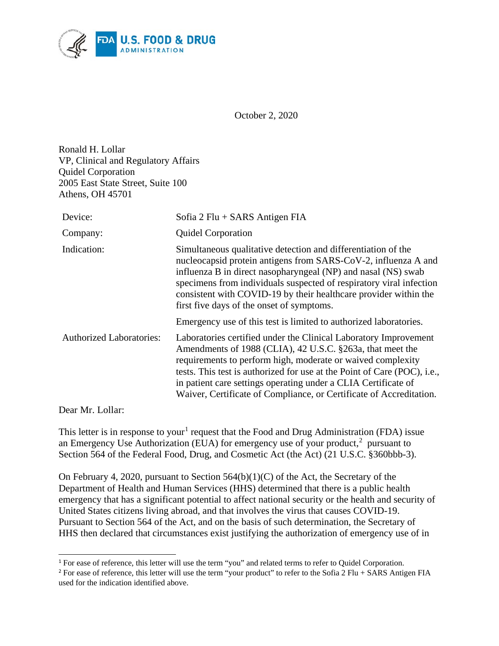

October 2, 2020

Ronald H. Lollar VP, Clinical and Regulatory Affairs Quidel Corporation 2005 East State Street, Suite 100 Athens, OH 45701

| Device:                         | Sofia $2$ Flu + SARS Antigen FIA                                                                                                                                                                                                                                                                                                                                                                                  |
|---------------------------------|-------------------------------------------------------------------------------------------------------------------------------------------------------------------------------------------------------------------------------------------------------------------------------------------------------------------------------------------------------------------------------------------------------------------|
| Company:                        | <b>Quidel Corporation</b>                                                                                                                                                                                                                                                                                                                                                                                         |
| Indication:                     | Simultaneous qualitative detection and differentiation of the<br>nucleocapsid protein antigens from SARS-CoV-2, influenza A and<br>influenza B in direct nasopharyngeal (NP) and nasal (NS) swab<br>specimens from individuals suspected of respiratory viral infection<br>consistent with COVID-19 by their healthcare provider within the<br>first five days of the onset of symptoms.                          |
|                                 | Emergency use of this test is limited to authorized laboratories.                                                                                                                                                                                                                                                                                                                                                 |
| <b>Authorized Laboratories:</b> | Laboratories certified under the Clinical Laboratory Improvement<br>Amendments of 1988 (CLIA), 42 U.S.C. §263a, that meet the<br>requirements to perform high, moderate or waived complexity<br>tests. This test is authorized for use at the Point of Care (POC), i.e.,<br>in patient care settings operating under a CLIA Certificate of<br>Waiver, Certificate of Compliance, or Certificate of Accreditation. |

Dear Mr. Lollar:

 $\overline{a}$ 

This letter is in response to your<sup>[1](#page-0-0)</sup> request that the Food and Drug Administration (FDA) issue an Emergency Use Authorization (EUA) for emergency use of your product,<sup>[2](#page-0-1)</sup> pursuant to Section 564 of the Federal Food, Drug, and Cosmetic Act (the Act) (21 U.S.C. §360bbb-3).

On February 4, 2020, pursuant to Section 564(b)(1)(C) of the Act, the Secretary of the Department of Health and Human Services (HHS) determined that there is a public health emergency that has a significant potential to affect national security or the health and security of United States citizens living abroad, and that involves the virus that causes COVID-19. Pursuant to Section 564 of the Act, and on the basis of such determination, the Secretary of HHS then declared that circumstances exist justifying the authorization of emergency use of in

<span id="page-0-0"></span><sup>&</sup>lt;sup>1</sup> For ease of reference, this letter will use the term "you" and related terms to refer to Quidel Corporation.

<span id="page-0-1"></span><sup>&</sup>lt;sup>2</sup> For ease of reference, this letter will use the term "your product" to refer to the Sofia 2 Flu + SARS Antigen FIA used for the indication identified above.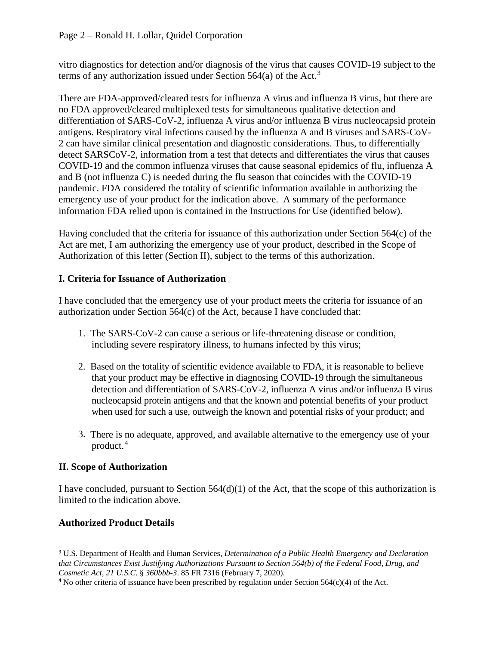vitro diagnostics for detection and/or diagnosis of the virus that causes COVID-19 subject to the terms of any authorization issued under Section 564(a) of the Act.<sup>[3](#page-1-0)</sup>

There are FDA-approved/cleared tests for influenza A virus and influenza B virus, but there are no FDA approved/cleared multiplexed tests for simultaneous qualitative detection and differentiation of SARS-CoV-2, influenza A virus and/or influenza B virus nucleocapsid protein antigens. Respiratory viral infections caused by the influenza A and B viruses and SARS-CoV-2 can have similar clinical presentation and diagnostic considerations. Thus, to differentially detect SARSCoV-2, information from a test that detects and differentiates the virus that causes COVID-19 and the common influenza viruses that cause seasonal epidemics of flu, influenza A and B (not influenza C) is needed during the flu season that coincides with the COVID-19 pandemic. FDA considered the totality of scientific information available in authorizing the emergency use of your product for the indication above. A summary of the performance information FDA relied upon is contained in the Instructions for Use (identified below).

Having concluded that the criteria for issuance of this authorization under Section 564(c) of the Act are met, I am authorizing the emergency use of your product, described in the Scope of Authorization of this letter (Section II), subject to the terms of this authorization.

# **I. Criteria for Issuance of Authorization**

I have concluded that the emergency use of your product meets the criteria for issuance of an authorization under Section 564(c) of the Act, because I have concluded that:

- 1. The SARS-CoV-2 can cause a serious or life-threatening disease or condition, including severe respiratory illness, to humans infected by this virus;
- 2. Based on the totality of scientific evidence available to FDA, it is reasonable to believe that your product may be effective in diagnosing COVID-19 through the simultaneous detection and differentiation of SARS-CoV-2, influenza A virus and/or influenza B virus nucleocapsid protein antigens and that the known and potential benefits of your product when used for such a use, outweigh the known and potential risks of your product; and
- 3. There is no adequate, approved, and available alternative to the emergency use of your product. [4](#page-1-1)

# **II. Scope of Authorization**

I have concluded, pursuant to Section  $564(d)(1)$  of the Act, that the scope of this authorization is limited to the indication above.

# **Authorized Product Details**

<span id="page-1-0"></span> $\overline{a}$ <sup>3</sup> U.S. Department of Health and Human Services, *Determination of a Public Health Emergency and Declaration that Circumstances Exist Justifying Authorizations Pursuant to Section 564(b) of the Federal Food, Drug, and Cosmetic Act, 21 U.S.C.* § *360bbb-3*. 85 FR 7316 (February 7, 2020).

<span id="page-1-1"></span><sup>4</sup> No other criteria of issuance have been prescribed by regulation under Section 564(c)(4) of the Act.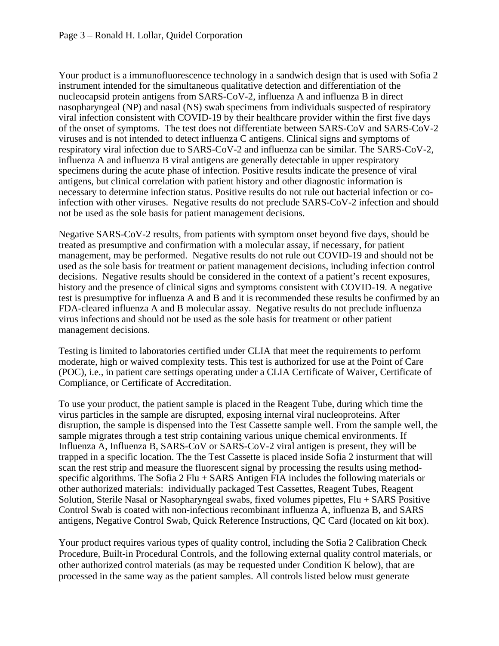Your product is a immunofluorescence technology in a sandwich design that is used with Sofia 2 instrument intended for the simultaneous qualitative detection and differentiation of the nucleocapsid protein antigens from SARS-CoV-2, influenza A and influenza B in direct nasopharyngeal (NP) and nasal (NS) swab specimens from individuals suspected of respiratory viral infection consistent with COVID-19 by their healthcare provider within the first five days of the onset of symptoms. The test does not differentiate between SARS-CoV and SARS-CoV-2 viruses and is not intended to detect influenza C antigens. Clinical signs and symptoms of respiratory viral infection due to SARS-CoV-2 and influenza can be similar. The SARS-CoV-2, influenza A and influenza B viral antigens are generally detectable in upper respiratory specimens during the acute phase of infection. Positive results indicate the presence of viral antigens, but clinical correlation with patient history and other diagnostic information is necessary to determine infection status. Positive results do not rule out bacterial infection or coinfection with other viruses. Negative results do not preclude SARS-CoV-2 infection and should not be used as the sole basis for patient management decisions.

Negative SARS-CoV-2 results, from patients with symptom onset beyond five days, should be treated as presumptive and confirmation with a molecular assay, if necessary, for patient management, may be performed. Negative results do not rule out COVID-19 and should not be used as the sole basis for treatment or patient management decisions, including infection control decisions. Negative results should be considered in the context of a patient's recent exposures, history and the presence of clinical signs and symptoms consistent with COVID-19. A negative test is presumptive for influenza A and B and it is recommended these results be confirmed by an FDA-cleared influenza A and B molecular assay. Negative results do not preclude influenza virus infections and should not be used as the sole basis for treatment or other patient management decisions.

Testing is limited to laboratories certified under CLIA that meet the requirements to perform moderate, high or waived complexity tests. This test is authorized for use at the Point of Care (POC), i.e., in patient care settings operating under a CLIA Certificate of Waiver, Certificate of Compliance, or Certificate of Accreditation.

To use your product, the patient sample is placed in the Reagent Tube, during which time the virus particles in the sample are disrupted, exposing internal viral nucleoproteins. After disruption, the sample is dispensed into the Test Cassette sample well. From the sample well, the sample migrates through a test strip containing various unique chemical environments. If Influenza A, Influenza B, SARS-CoV or SARS-CoV-2 viral antigen is present, they will be trapped in a specific location. The the Test Cassette is placed inside Sofia 2 insturment that will scan the rest strip and measure the fluorescent signal by processing the results using methodspecific algorithms. The Sofia 2 Flu + SARS Antigen FIA includes the following materials or other authorized materials: individually packaged Test Cassettes, Reagent Tubes, Reagent Solution, Sterile Nasal or Nasopharyngeal swabs, fixed volumes pipettes, Flu + SARS Positive Control Swab is coated with non-infectious recombinant influenza A, influenza B, and SARS antigens, Negative Control Swab, Quick Reference Instructions, QC Card (located on kit box).

Your product requires various types of quality control, including the Sofia 2 Calibration Check Procedure, Built-in Procedural Controls, and the following external quality control materials, or other authorized control materials (as may be requested under Condition K below), that are processed in the same way as the patient samples. All controls listed below must generate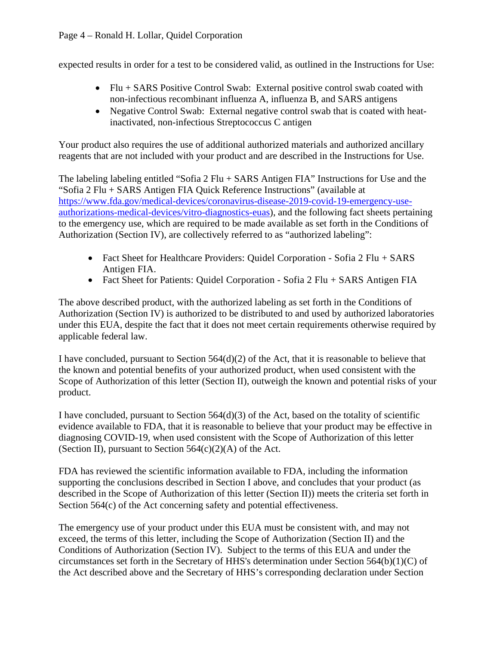expected results in order for a test to be considered valid, as outlined in the Instructions for Use:

- Flu + SARS Positive Control Swab: External positive control swab coated with non-infectious recombinant influenza A, influenza B, and SARS antigens
- Negative Control Swab: External negative control swab that is coated with heatinactivated, non-infectious Streptococcus C antigen

Your product also requires the use of additional authorized materials and authorized ancillary reagents that are not included with your product and are described in the Instructions for Use.

The labeling labeling entitled "Sofia 2 Flu + SARS Antigen FIA" Instructions for Use and the "Sofia 2 Flu + SARS Antigen FIA Quick Reference Instructions" (available at [https://www.fda.gov/medical-devices/coronavirus-disease-2019-covid-19-emergency-use](https://www.fda.gov/medical-devices/coronavirus-disease-2019-covid-19-emergency-use-authorizations-medical-devices/vitro-diagnostics-euas)[authorizations-medical-devices/vitro-diagnostics-euas\)](https://www.fda.gov/medical-devices/coronavirus-disease-2019-covid-19-emergency-use-authorizations-medical-devices/vitro-diagnostics-euas), and the following fact sheets pertaining to the emergency use, which are required to be made available as set forth in the Conditions of Authorization (Section IV), are collectively referred to as "authorized labeling":

- Fact Sheet for Healthcare Providers: Quidel Corporation Sofia 2 Flu + SARS Antigen FIA.
- Fact Sheet for Patients: Quidel Corporation Sofia 2 Flu + SARS Antigen FIA

The above described product, with the authorized labeling as set forth in the Conditions of Authorization (Section IV) is authorized to be distributed to and used by authorized laboratories under this EUA, despite the fact that it does not meet certain requirements otherwise required by applicable federal law.

I have concluded, pursuant to Section 564(d)(2) of the Act, that it is reasonable to believe that the known and potential benefits of your authorized product, when used consistent with the Scope of Authorization of this letter (Section II), outweigh the known and potential risks of your product.

I have concluded, pursuant to Section  $564(d)(3)$  of the Act, based on the totality of scientific evidence available to FDA, that it is reasonable to believe that your product may be effective in diagnosing COVID-19, when used consistent with the Scope of Authorization of this letter (Section II), pursuant to Section  $564(c)(2)(A)$  of the Act.

FDA has reviewed the scientific information available to FDA, including the information supporting the conclusions described in Section I above, and concludes that your product (as described in the Scope of Authorization of this letter (Section II)) meets the criteria set forth in Section 564(c) of the Act concerning safety and potential effectiveness.

The emergency use of your product under this EUA must be consistent with, and may not exceed, the terms of this letter, including the Scope of Authorization (Section II) and the Conditions of Authorization (Section IV). Subject to the terms of this EUA and under the circumstances set forth in the Secretary of HHS's determination under Section 564(b)(1)(C) of the Act described above and the Secretary of HHS's corresponding declaration under Section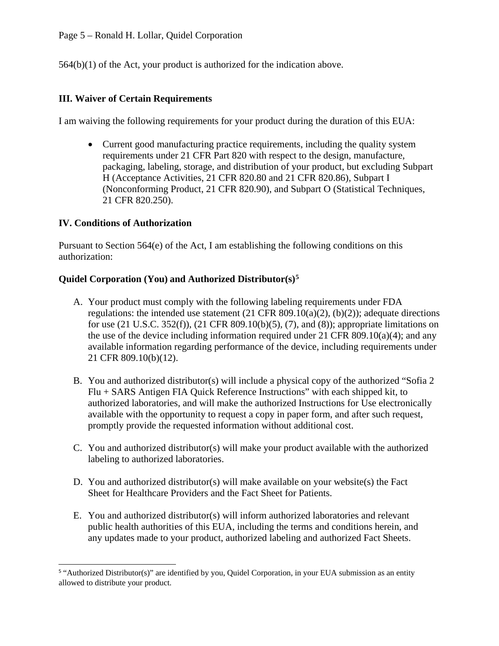564(b)(1) of the Act, your product is authorized for the indication above.

### **III. Waiver of Certain Requirements**

I am waiving the following requirements for your product during the duration of this EUA:

• Current good manufacturing practice requirements, including the quality system requirements under 21 CFR Part 820 with respect to the design, manufacture, packaging, labeling, storage, and distribution of your product, but excluding Subpart H (Acceptance Activities, 21 CFR 820.80 and 21 CFR 820.86), Subpart I (Nonconforming Product, 21 CFR 820.90), and Subpart O (Statistical Techniques, 21 CFR 820.250).

### **IV. Conditions of Authorization**

Pursuant to Section 564(e) of the Act, I am establishing the following conditions on this authorization:

### **Quidel Corporation (You) and Authorized Distributor(s)[5](#page-4-0)**

- A. Your product must comply with the following labeling requirements under FDA regulations: the intended use statement  $(21 \text{ CFR } 809.10(a)(2), (b)(2))$ ; adequate directions for use (21 U.S.C. 352(f)), (21 CFR 809.10(b)(5), (7), and (8)); appropriate limitations on the use of the device including information required under 21 CFR 809.10(a)(4); and any available information regarding performance of the device, including requirements under 21 CFR 809.10(b)(12).
- B. You and authorized distributor(s) will include a physical copy of the authorized "Sofia 2 Flu + SARS Antigen FIA Quick Reference Instructions" with each shipped kit, to authorized laboratories, and will make the authorized Instructions for Use electronically available with the opportunity to request a copy in paper form, and after such request, promptly provide the requested information without additional cost.
- C. You and authorized distributor(s) will make your product available with the authorized labeling to authorized laboratories.
- D. You and authorized distributor(s) will make available on your website(s) the Fact Sheet for Healthcare Providers and the Fact Sheet for Patients.
- E. You and authorized distributor(s) will inform authorized laboratories and relevant public health authorities of this EUA, including the terms and conditions herein, and any updates made to your product, authorized labeling and authorized Fact Sheets.

<span id="page-4-0"></span> $\overline{a}$ <sup>5</sup> "Authorized Distributor(s)" are identified by you, Quidel Corporation, in your EUA submission as an entity allowed to distribute your product.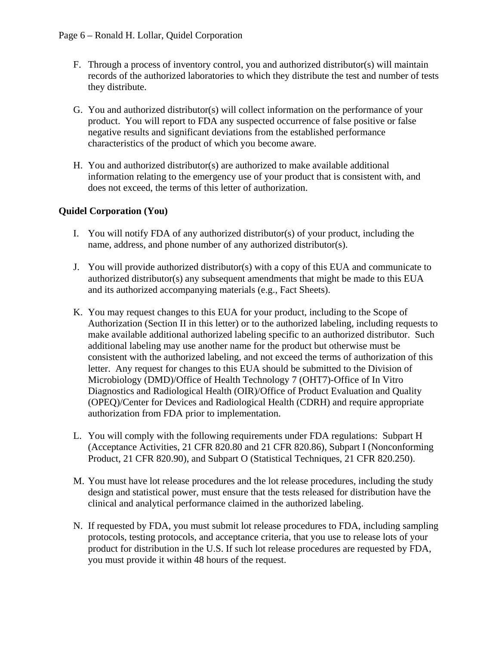- F. Through a process of inventory control, you and authorized distributor(s) will maintain records of the authorized laboratories to which they distribute the test and number of tests they distribute.
- G. You and authorized distributor(s) will collect information on the performance of your product. You will report to FDA any suspected occurrence of false positive or false negative results and significant deviations from the established performance characteristics of the product of which you become aware.
- H. You and authorized distributor(s) are authorized to make available additional information relating to the emergency use of your product that is consistent with, and does not exceed, the terms of this letter of authorization.

### **Quidel Corporation (You)**

- I. You will notify FDA of any authorized distributor(s) of your product, including the name, address, and phone number of any authorized distributor(s).
- J. You will provide authorized distributor(s) with a copy of this EUA and communicate to authorized distributor(s) any subsequent amendments that might be made to this EUA and its authorized accompanying materials (e.g., Fact Sheets).
- K. You may request changes to this EUA for your product, including to the Scope of Authorization (Section II in this letter) or to the authorized labeling, including requests to make available additional authorized labeling specific to an authorized distributor. Such additional labeling may use another name for the product but otherwise must be consistent with the authorized labeling, and not exceed the terms of authorization of this letter. Any request for changes to this EUA should be submitted to the Division of Microbiology (DMD)/Office of Health Technology 7 (OHT7)-Office of In Vitro Diagnostics and Radiological Health (OIR)/Office of Product Evaluation and Quality (OPEQ)/Center for Devices and Radiological Health (CDRH) and require appropriate authorization from FDA prior to implementation.
- L. You will comply with the following requirements under FDA regulations: Subpart H (Acceptance Activities, 21 CFR 820.80 and 21 CFR 820.86), Subpart I (Nonconforming Product, 21 CFR 820.90), and Subpart O (Statistical Techniques, 21 CFR 820.250).
- M. You must have lot release procedures and the lot release procedures, including the study design and statistical power, must ensure that the tests released for distribution have the clinical and analytical performance claimed in the authorized labeling.
- N. If requested by FDA, you must submit lot release procedures to FDA, including sampling protocols, testing protocols, and acceptance criteria, that you use to release lots of your product for distribution in the U.S. If such lot release procedures are requested by FDA, you must provide it within 48 hours of the request.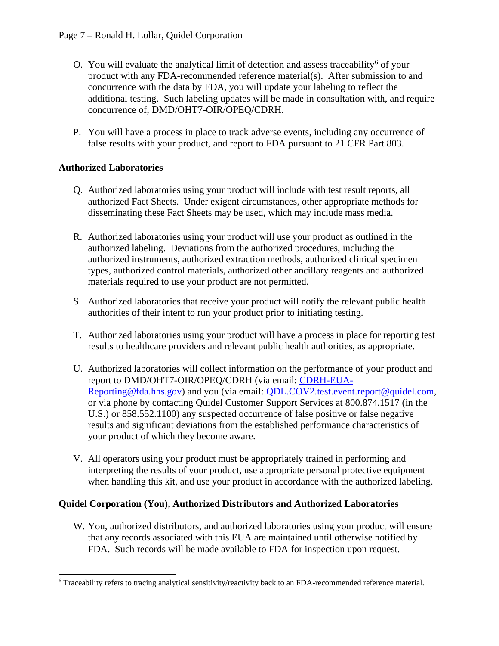- O. You will evaluate the analytical limit of detection and assess traceability<sup>[6](#page-6-0)</sup> of your product with any FDA-recommended reference material(s). After submission to and concurrence with the data by FDA, you will update your labeling to reflect the additional testing. Such labeling updates will be made in consultation with, and require concurrence of, DMD/OHT7-OIR/OPEQ/CDRH.
- P. You will have a process in place to track adverse events, including any occurrence of false results with your product, and report to FDA pursuant to 21 CFR Part 803.

# **Authorized Laboratories**

- Q. Authorized laboratories using your product will include with test result reports, all authorized Fact Sheets. Under exigent circumstances, other appropriate methods for disseminating these Fact Sheets may be used, which may include mass media.
- R. Authorized laboratories using your product will use your product as outlined in the authorized labeling. Deviations from the authorized procedures, including the authorized instruments, authorized extraction methods, authorized clinical specimen types, authorized control materials, authorized other ancillary reagents and authorized materials required to use your product are not permitted.
- S. Authorized laboratories that receive your product will notify the relevant public health authorities of their intent to run your product prior to initiating testing.
- T. Authorized laboratories using your product will have a process in place for reporting test results to healthcare providers and relevant public health authorities, as appropriate.
- U. Authorized laboratories will collect information on the performance of your product and report to DMD/OHT7-OIR/OPEQ/CDRH (via email: [CDRH-EUA-](mailto:CDRH-EUA-Reporting@fda.hhs.gov)[Reporting@fda.hhs.gov\)](mailto:CDRH-EUA-Reporting@fda.hhs.gov) and you (via email: [QDL.COV2.test.event.report@quidel.com,](mailto:QDL.COV2.test.event.report@quidel.com) or via phone by contacting Quidel Customer Support Services at 800.874.1517 (in the U.S.) or 858.552.1100) any suspected occurrence of false positive or false negative results and significant deviations from the established performance characteristics of your product of which they become aware.
- V. All operators using your product must be appropriately trained in performing and interpreting the results of your product, use appropriate personal protective equipment when handling this kit, and use your product in accordance with the authorized labeling.

#### **Quidel Corporation (You), Authorized Distributors and Authorized Laboratories**

W. You, authorized distributors, and authorized laboratories using your product will ensure that any records associated with this EUA are maintained until otherwise notified by FDA. Such records will be made available to FDA for inspection upon request.

<span id="page-6-0"></span> <sup>6</sup> Traceability refers to tracing analytical sensitivity/reactivity back to an FDA-recommended reference material.